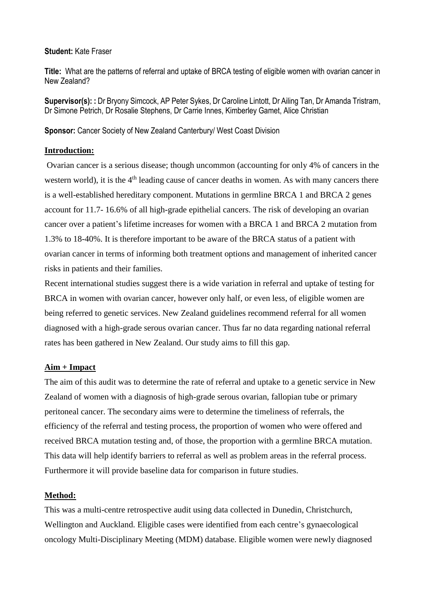# **Student:** Kate Fraser

**Title:** What are the patterns of referral and uptake of BRCA testing of eligible women with ovarian cancer in New Zealand?

**Supervisor(s): :** Dr Bryony Simcock, AP Peter Sykes, Dr Caroline Lintott, Dr Ailing Tan, Dr Amanda Tristram, Dr Simone Petrich, Dr Rosalie Stephens, Dr Carrie Innes, Kimberley Gamet, Alice Christian

**Sponsor:** Cancer Society of New Zealand Canterbury/ West Coast Division

### **Introduction:**

Ovarian cancer is a serious disease; though uncommon (accounting for only 4% of cancers in the western world), it is the  $4<sup>th</sup>$  leading cause of cancer deaths in women. As with many cancers there is a well-established hereditary component. Mutations in germline BRCA 1 and BRCA 2 genes account for 11.7- 16.6% of all high-grade epithelial cancers. The risk of developing an ovarian cancer over a patient's lifetime increases for women with a BRCA 1 and BRCA 2 mutation from 1.3% to 18-40%. It is therefore important to be aware of the BRCA status of a patient with ovarian cancer in terms of informing both treatment options and management of inherited cancer risks in patients and their families.

Recent international studies suggest there is a wide variation in referral and uptake of testing for BRCA in women with ovarian cancer, however only half, or even less, of eligible women are being referred to genetic services. New Zealand guidelines recommend referral for all women diagnosed with a high-grade serous ovarian cancer. Thus far no data regarding national referral rates has been gathered in New Zealand. Our study aims to fill this gap.

## **Aim + Impact**

The aim of this audit was to determine the rate of referral and uptake to a genetic service in New Zealand of women with a diagnosis of high-grade serous ovarian, fallopian tube or primary peritoneal cancer. The secondary aims were to determine the timeliness of referrals, the efficiency of the referral and testing process, the proportion of women who were offered and received BRCA mutation testing and, of those, the proportion with a germline BRCA mutation. This data will help identify barriers to referral as well as problem areas in the referral process. Furthermore it will provide baseline data for comparison in future studies.

## **Method:**

This was a multi-centre retrospective audit using data collected in Dunedin, Christchurch, Wellington and Auckland. Eligible cases were identified from each centre's gynaecological oncology Multi-Disciplinary Meeting (MDM) database. Eligible women were newly diagnosed